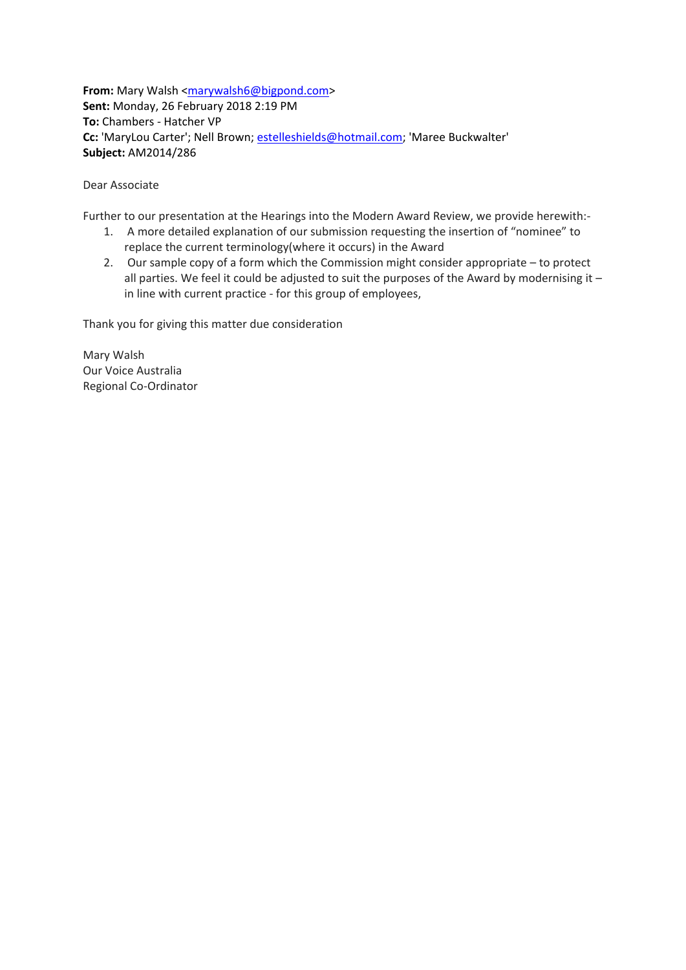**From:** Mary Walsh [<marywalsh6@bigpond.com>](mailto:marywalsh6@bigpond.com) **Sent:** Monday, 26 February 2018 2:19 PM **To:** Chambers - Hatcher VP **Cc:** 'MaryLou Carter'; Nell Brown; [estelleshields@hotmail.com;](mailto:estelleshields@hotmail.com) 'Maree Buckwalter' **Subject:** AM2014/286

Dear Associate

Further to our presentation at the Hearings into the Modern Award Review, we provide herewith:-

- 1. A more detailed explanation of our submission requesting the insertion of "nominee" to replace the current terminology(where it occurs) in the Award
- 2. Our sample copy of a form which the Commission might consider appropriate to protect all parties. We feel it could be adjusted to suit the purposes of the Award by modernising it  $$ in line with current practice - for this group of employees,

Thank you for giving this matter due consideration

Mary Walsh Our Voice Australia Regional Co-Ordinator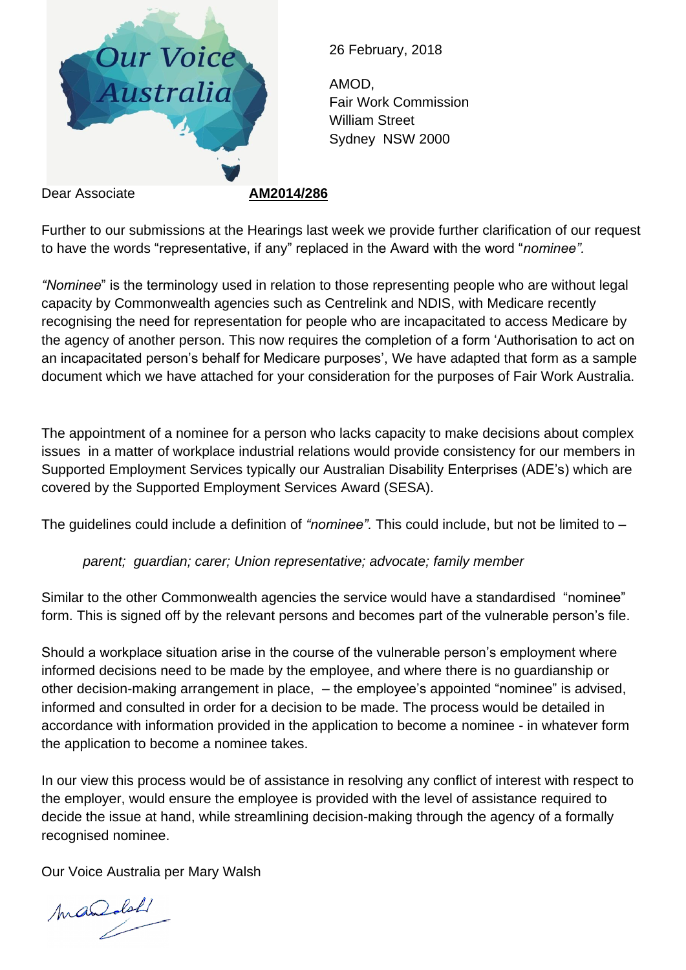

26 February, 2018

AMOD, Fair Work Commission William Street Sydney NSW 2000

Further to our submissions at the Hearings last week we provide further clarification of our request to have the words "representative, if any" replaced in the Award with the word "*nominee".*

*"Nominee*" is the terminology used in relation to those representing people who are without legal capacity by Commonwealth agencies such as Centrelink and NDIS, with Medicare recently recognising the need for representation for people who are incapacitated to access Medicare by the agency of another person. This now requires the completion of a form 'Authorisation to act on an incapacitated person's behalf for Medicare purposes', We have adapted that form as a sample document which we have attached for your consideration for the purposes of Fair Work Australia.

The appointment of a nominee for a person who lacks capacity to make decisions about complex issues in a matter of workplace industrial relations would provide consistency for our members in Supported Employment Services typically our Australian Disability Enterprises (ADE's) which are covered by the Supported Employment Services Award (SESA).

The guidelines could include a definition of *"nominee".* This could include, but not be limited to –

*parent; guardian; carer; Union representative; advocate; family member*

Similar to the other Commonwealth agencies the service would have a standardised "nominee" form. This is signed off by the relevant persons and becomes part of the vulnerable person's file.

Should a workplace situation arise in the course of the vulnerable person's employment where informed decisions need to be made by the employee, and where there is no guardianship or other decision-making arrangement in place, – the employee's appointed "nominee" is advised, informed and consulted in order for a decision to be made. The process would be detailed in accordance with information provided in the application to become a nominee - in whatever form the application to become a nominee takes.

In our view this process would be of assistance in resolving any conflict of interest with respect to the employer, would ensure the employee is provided with the level of assistance required to decide the issue at hand, while streamlining decision-making through the agency of a formally recognised nominee.

Our Voice Australia per Mary Walsh

mandal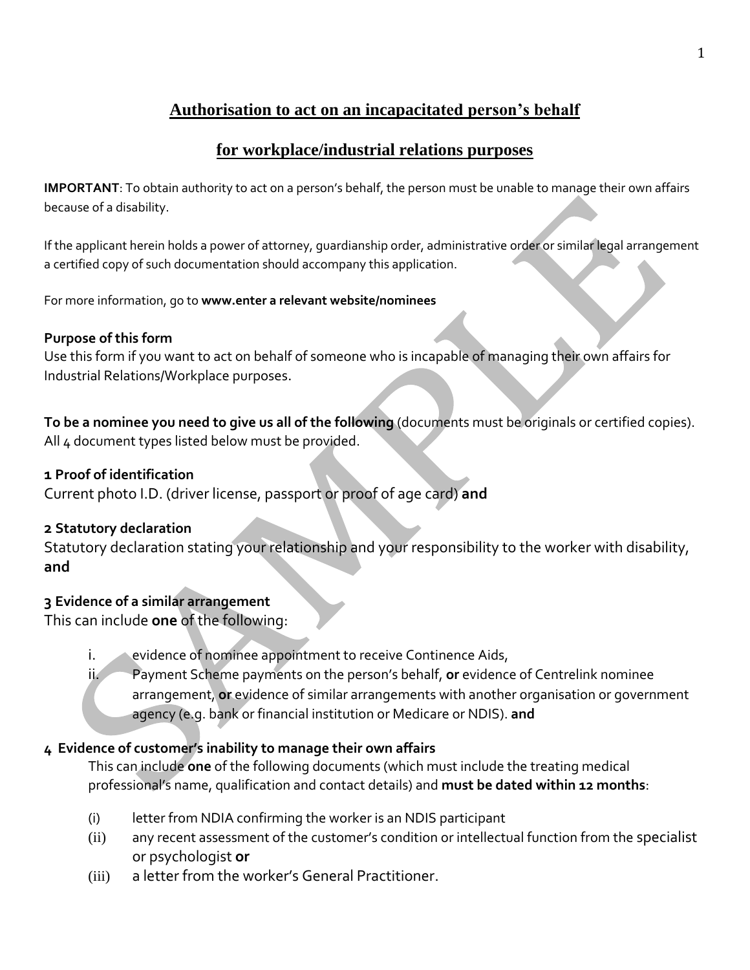# **Authorisation to act on an incapacitated person's behalf**

## **for workplace/industrial relations purposes**

**IMPORTANT**: To obtain authority to act on a person's behalf, the person must be unable to manage their own affairs because of a disability.

If the applicant herein holds a power of attorney, guardianship order, administrative order or similar legal arrangement a certified copy of such documentation should accompany this application.

For more information, go to **www.enter a relevant website/nominees** 

### **Purpose of this form**

Use this form if you want to act on behalf of someone who is incapable of managing their own affairs for Industrial Relations/Workplace purposes.

**To be a nominee you need to give us all of the following** (documents must be originals or certified copies). All 4 document types listed below must be provided.

## **1 Proof of identification**

Current photo I.D. (driver license, passport or proof of age card) **and**

## **2 Statutory declaration**

Statutory declaration stating your relationship and your responsibility to the worker with disability, **and**

## **3 Evidence of a similar arrangement**

This can include **one** of the following:

i. evidence of nominee appointment to receive Continence Aids,

ii. Payment Scheme payments on the person's behalf, **or** evidence of Centrelink nominee arrangement, **or** evidence of similar arrangements with another organisation or government agency (e.g. bank or financial institution or Medicare or NDIS). **and**

## **4 Evidence of customer's inability to manage their own affairs**

This can include **one** of the following documents (which must include the treating medical professional's name, qualification and contact details) and **must be dated within 12 months**:

- (i) letter from NDIA confirming the worker is an NDIS participant
- (ii) any recent assessment of the customer's condition or intellectual function from the specialist or psychologist **or**
- (iii) a letter from the worker's General Practitioner.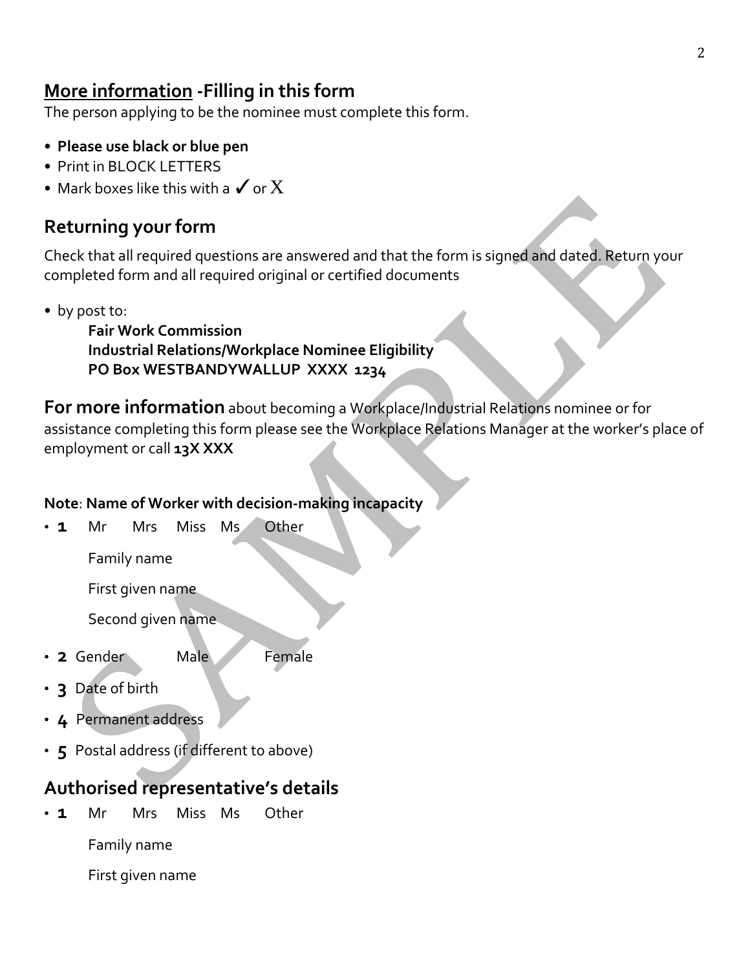# **More information -Filling in this form**

The person applying to be the nominee must complete this form.

- **Please use black or blue pen**
- Print in BLOCK LETTERS
- Mark boxes like this with a  $\checkmark$  or  $\mathrm X$

# **Returning your form**

Check that all required questions are answered and that the form is signed and dated. Return your completed form and all required original or certified documents

• by post to:

**Fair Work Commission Industrial Relations/Workplace Nominee Eligibility PO Box WESTBANDYWALLUP XXXX 1234**

**For more information** about becoming a Workplace/Industrial Relations nominee or for assistance completing this form please see the Workplace Relations Manager at the worker's place of employment or call **13X XXX**

## **Note**: **Name of Worker with decision-making incapacity**

• **1** Mr Mrs Miss Ms Other

Family name

First given name

Second given name

- 2 Gender Male Female
- **3** Date of birth
- **4** Permanent address
- **5** Postal address (if different to above)

# **Authorised representative's details**

• **1** Mr Mrs Miss Ms Other

Family name

First given name